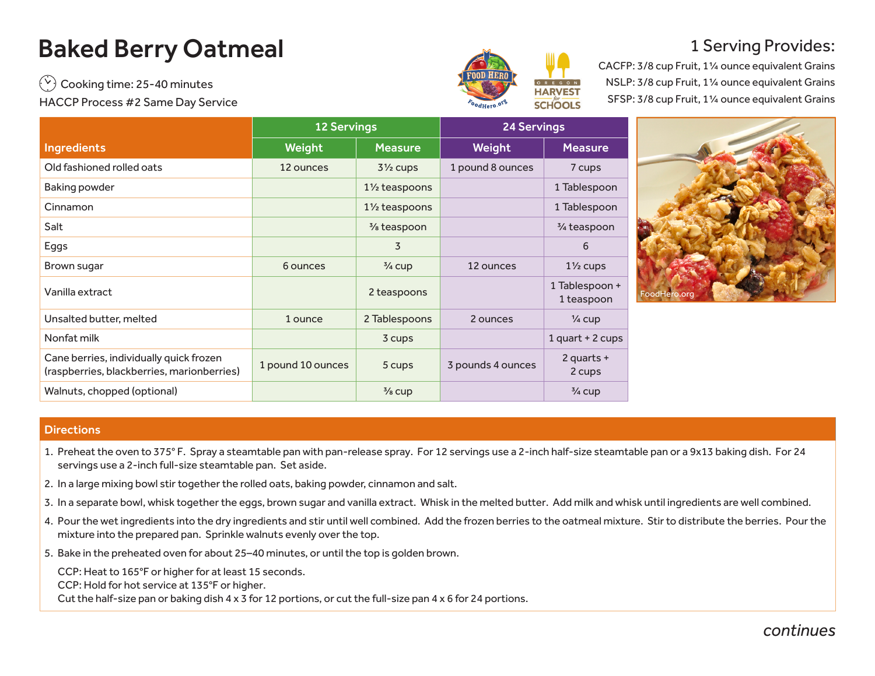## Baked Berry Oatmeal

 $(v)$  Cooking time: 25-40 minutes HACCP Process #2 Same Day Service



## 1 Serving Provides:

CACFP: 3/8 cup Fruit, 1¼ ounce equivalent Grains NSLP: 3/8 cup Fruit, 1¼ ounce equivalent Grains SFSP: 3/8 cup Fruit, 1¼ ounce equivalent Grains

|                                                                                       | <b>12 Servings</b> |                          | <b>24 Servings</b> |                              |  |
|---------------------------------------------------------------------------------------|--------------------|--------------------------|--------------------|------------------------------|--|
| <b>Ingredients</b>                                                                    | Weight             | <b>Measure</b>           | Weight             | <b>Measure</b>               |  |
| Old fashioned rolled oats                                                             | 12 ounces          | $3\frac{1}{2}$ cups      | 1 pound 8 ounces   | 7 cups                       |  |
| <b>Baking powder</b>                                                                  |                    | $1\frac{1}{2}$ teaspoons |                    | 1 Tablespoon                 |  |
| Cinnamon                                                                              |                    | $1\frac{1}{2}$ teaspoons |                    | 1 Tablespoon                 |  |
| Salt                                                                                  |                    | $\frac{3}{8}$ teaspoon   |                    | 3/4 teaspoon                 |  |
| Eggs                                                                                  |                    | 3                        |                    | 6                            |  |
| Brown sugar                                                                           | 6 ounces           | $\frac{3}{4}$ CUD        | 12 ounces          | $1\frac{1}{2}$ cups          |  |
| Vanilla extract                                                                       |                    | 2 teaspoons              |                    | 1 Tablespoon +<br>1 teaspoon |  |
| Unsalted butter, melted                                                               | 1 ounce            | 2 Tablespoons            | 2 ounces           | $\frac{1}{4}$ cup            |  |
| Nonfat milk                                                                           |                    | 3 cups                   |                    | 1 quart $+2$ cups            |  |
| Cane berries, individually quick frozen<br>(raspberries, blackberries, marionberries) | 1 pound 10 ounces  | 5 cups                   | 3 pounds 4 ounces  | 2 quarts +<br>2 cups         |  |
| Walnuts, chopped (optional)                                                           |                    | $\frac{3}{8}$ CUD        |                    | $\frac{3}{4}$ CUD            |  |



## **Directions**

- 1. Preheat the oven to 375° F. Spray a steamtable pan with pan-release spray. For 12 servings use a 2-inch half-size steamtable pan or a 9x13 baking dish. For 24 servings use a 2-inch full-size steamtable pan. Set aside.
- 2. In a large mixing bowl stir together the rolled oats, baking powder, cinnamon and salt.
- 3. In a separate bowl, whisk together the eggs, brown sugar and vanilla extract. Whisk in the melted butter. Add milk and whisk until ingredients are well combined.
- 4. Pour the wet ingredients into the dry ingredients and stir until well combined. Add the frozen berries to the oatmeal mixture. Stir to distribute the berries. Pour the mixture into the prepared pan. Sprinkle walnuts evenly over the top.
- 5. Bake in the preheated oven for about 25–40 minutes, or until the top is golden brown.

CCP: Heat to 165°F or higher for at least 15 seconds.

CCP: Hold for hot service at 135°F or higher.

Cut the half-size pan or baking dish  $4 \times 3$  for 12 portions, or cut the full-size pan  $4 \times 6$  for 24 portions.